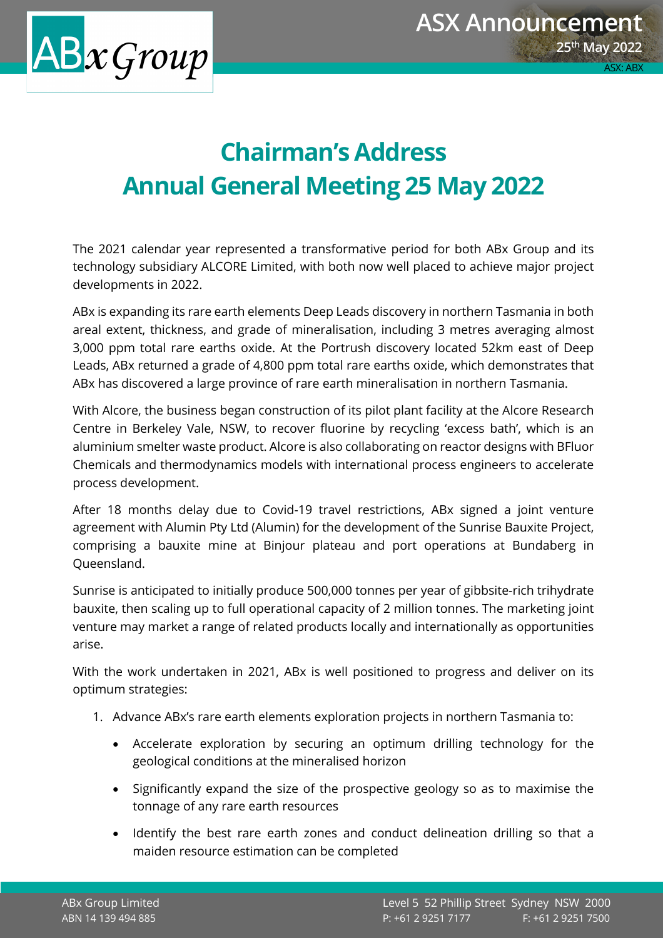

## **Chairman's Address Annual General Meeting 25 May 2022**

The 2021 calendar year represented a transformative period for both ABx Group and its technology subsidiary ALCORE Limited, with both now well placed to achieve major project developments in 2022.

ABx is expanding its rare earth elements Deep Leads discovery in northern Tasmania in both areal extent, thickness, and grade of mineralisation, including 3 metres averaging almost 3,000 ppm total rare earths oxide. At the Portrush discovery located 52km east of Deep Leads, ABx returned a grade of 4,800 ppm total rare earths oxide, which demonstrates that ABx has discovered a large province of rare earth mineralisation in northern Tasmania.

With Alcore, the business began construction of its pilot plant facility at the Alcore Research Centre in Berkeley Vale, NSW, to recover fluorine by recycling 'excess bath', which is an aluminium smelter waste product. Alcore is also collaborating on reactor designs with BFluor Chemicals and thermodynamics models with international process engineers to accelerate process development.

After 18 months delay due to Covid-19 travel restrictions, ABx signed a joint venture agreement with Alumin Pty Ltd (Alumin) for the development of the Sunrise Bauxite Project, comprising a bauxite mine at Binjour plateau and port operations at Bundaberg in Queensland.

Sunrise is anticipated to initially produce 500,000 tonnes per year of gibbsite-rich trihydrate bauxite, then scaling up to full operational capacity of 2 million tonnes. The marketing joint venture may market a range of related products locally and internationally as opportunities arise.

With the work undertaken in 2021, ABx is well positioned to progress and deliver on its optimum strategies:

- 1. Advance ABx's rare earth elements exploration projects in northern Tasmania to:
	- Accelerate exploration by securing an optimum drilling technology for the geological conditions at the mineralised horizon
	- Significantly expand the size of the prospective geology so as to maximise the tonnage of any rare earth resources
	- Identify the best rare earth zones and conduct delineation drilling so that a maiden resource estimation can be completed